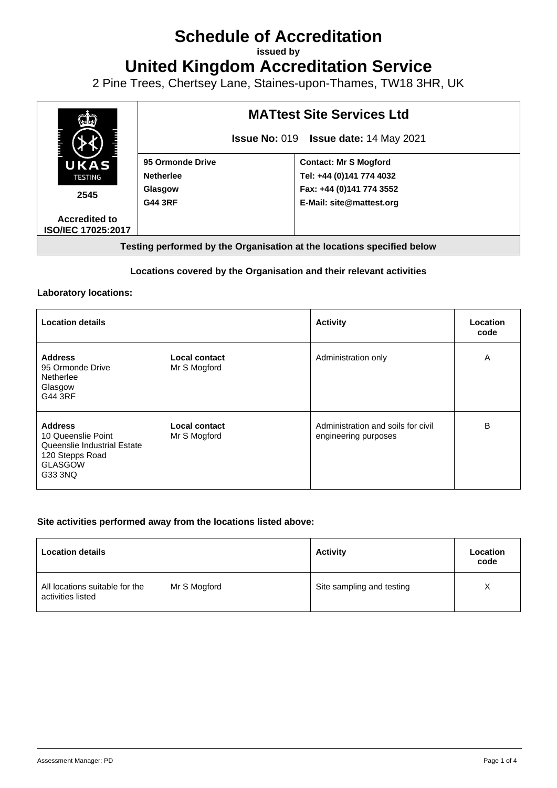# **Schedule of Accreditation**

**issued by**

**United Kingdom Accreditation Service**

2 Pine Trees, Chertsey Lane, Staines-upon-Thames, TW18 3HR, UK



### **Locations covered by the Organisation and their relevant activities**

#### **Laboratory locations:**

| <b>Location details</b>                                                                                             |                               | <b>Activity</b>                                            | Location<br>code |
|---------------------------------------------------------------------------------------------------------------------|-------------------------------|------------------------------------------------------------|------------------|
| <b>Address</b><br>95 Ormonde Drive<br>Netherlee<br>Glasgow<br>G44 3RF                                               | Local contact<br>Mr S Mogford | Administration only                                        | A                |
| <b>Address</b><br>10 Queenslie Point<br>Queenslie Industrial Estate<br>120 Stepps Road<br><b>GLASGOW</b><br>G33 3NQ | Local contact<br>Mr S Mogford | Administration and soils for civil<br>engineering purposes | B                |

#### **Site activities performed away from the locations listed above:**

| <b>Location details</b>                             |              | <b>Activity</b>           | Location<br>code |
|-----------------------------------------------------|--------------|---------------------------|------------------|
| All locations suitable for the<br>activities listed | Mr S Mogford | Site sampling and testing | X                |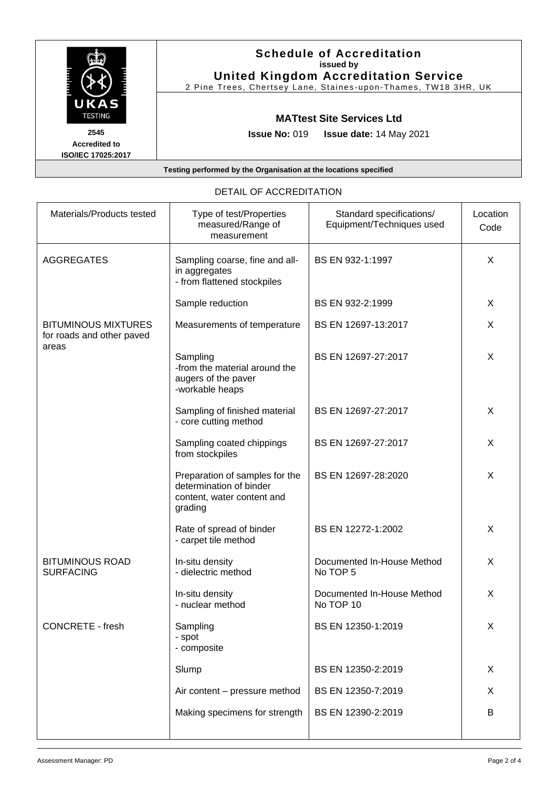|                                                                  | <b>Schedule of Accreditation</b><br>issued by<br><b>United Kingdom Accreditation Service</b><br>2 Pine Trees, Chertsey Lane, Staines-upon-Thames, TW18 3HR, UK |  |
|------------------------------------------------------------------|----------------------------------------------------------------------------------------------------------------------------------------------------------------|--|
| UKAS<br><b>TESTING</b>                                           | <b>MATtest Site Services Ltd</b>                                                                                                                               |  |
| 2545<br><b>Accredited to</b><br><b>ISO/IEC 17025:2017</b>        | <b>Issue No: <math>019</math></b><br><b>Issue date: 14 May 2021</b>                                                                                            |  |
| Testing performed by the Organisation at the locations specified |                                                                                                                                                                |  |

| Materials/Products tested                               | Type of test/Properties<br>measured/Range of<br>measurement                                        | Standard specifications/<br>Equipment/Techniques used | Location<br>Code |
|---------------------------------------------------------|----------------------------------------------------------------------------------------------------|-------------------------------------------------------|------------------|
| <b>AGGREGATES</b>                                       | Sampling coarse, fine and all-<br>in aggregates<br>- from flattened stockpiles                     | BS EN 932-1:1997                                      | X                |
|                                                         | Sample reduction                                                                                   | BS EN 932-2:1999                                      | X                |
| <b>BITUMINOUS MIXTURES</b><br>for roads and other paved | Measurements of temperature                                                                        | BS EN 12697-13:2017                                   | X                |
| areas                                                   | Sampling<br>-from the material around the<br>augers of the paver<br>-workable heaps                | BS EN 12697-27:2017                                   | X                |
|                                                         | Sampling of finished material<br>- core cutting method                                             | BS EN 12697-27:2017                                   | X                |
|                                                         | Sampling coated chippings<br>from stockpiles                                                       | BS EN 12697-27:2017                                   | X                |
|                                                         | Preparation of samples for the<br>determination of binder<br>content, water content and<br>grading | BS EN 12697-28:2020                                   | X                |
|                                                         | Rate of spread of binder<br>- carpet tile method                                                   | BS EN 12272-1:2002                                    | X                |
| <b>BITUMINOUS ROAD</b><br><b>SURFACING</b>              | In-situ density<br>- dielectric method                                                             | Documented In-House Method<br>No TOP 5                | X                |
|                                                         | In-situ density<br>- nuclear method                                                                | Documented In-House Method<br>No TOP 10               | X                |
| <b>CONCRETE - fresh</b>                                 | Sampling<br>- spot<br>- composite                                                                  | BS EN 12350-1:2019                                    | X                |
|                                                         | Slump                                                                                              | BS EN 12350-2:2019                                    | X                |
|                                                         | Air content - pressure method                                                                      | BS EN 12350-7:2019                                    | X                |
|                                                         | Making specimens for strength                                                                      | BS EN 12390-2:2019                                    | B                |

## DETAIL OF ACCREDITATION

٦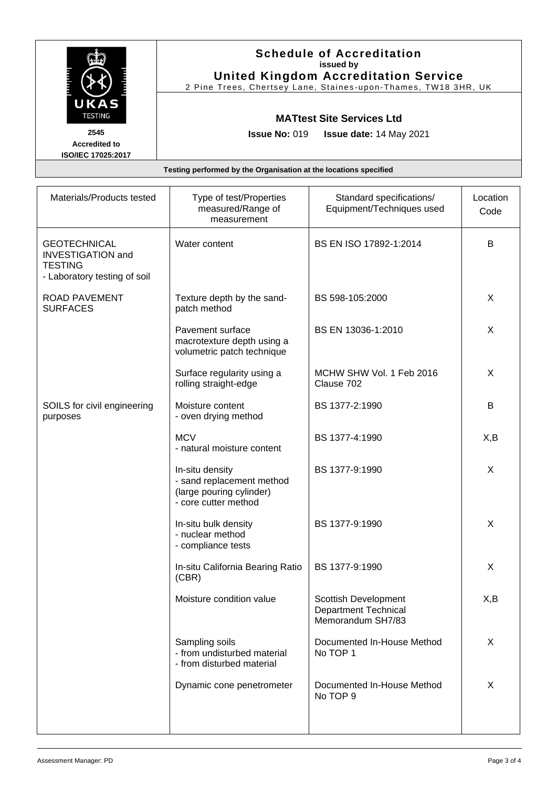| UKAS<br><b>TESTING</b>                                           | <b>Schedule of Accreditation</b><br>issued by<br><b>United Kingdom Accreditation Service</b><br>2 Pine Trees, Chertsey Lane, Staines-upon-Thames, TW18 3HR, UK |  |
|------------------------------------------------------------------|----------------------------------------------------------------------------------------------------------------------------------------------------------------|--|
|                                                                  | <b>MATtest Site Services Ltd</b>                                                                                                                               |  |
| 2545<br><b>Accredited to</b><br><b>ISO/IEC 17025:2017</b>        | <b>Issue No: <math>019</math></b><br><b>Issue date: 14 May 2021</b>                                                                                            |  |
| Testing performed by the Organisation at the locations specified |                                                                                                                                                                |  |

| Materials/Products tested                                                                         | Type of test/Properties<br>measured/Range of<br>measurement                                      | Standard specifications/<br>Equipment/Techniques used                    | Location<br>Code |
|---------------------------------------------------------------------------------------------------|--------------------------------------------------------------------------------------------------|--------------------------------------------------------------------------|------------------|
| <b>GEOTECHNICAL</b><br><b>INVESTIGATION and</b><br><b>TESTING</b><br>- Laboratory testing of soil | Water content                                                                                    | BS EN ISO 17892-1:2014                                                   | B                |
| ROAD PAVEMENT<br><b>SURFACES</b>                                                                  | Texture depth by the sand-<br>patch method                                                       | BS 598-105:2000                                                          | X                |
|                                                                                                   | Pavement surface<br>macrotexture depth using a<br>volumetric patch technique                     | BS EN 13036-1:2010                                                       | X                |
|                                                                                                   | Surface regularity using a<br>rolling straight-edge                                              | MCHW SHW Vol. 1 Feb 2016<br>Clause 702                                   | X                |
| SOILS for civil engineering<br>purposes                                                           | Moisture content<br>- oven drying method                                                         | BS 1377-2:1990                                                           | B                |
|                                                                                                   | <b>MCV</b><br>- natural moisture content                                                         | BS 1377-4:1990                                                           | X,B              |
|                                                                                                   | In-situ density<br>- sand replacement method<br>(large pouring cylinder)<br>- core cutter method | BS 1377-9:1990                                                           | X                |
|                                                                                                   | In-situ bulk density<br>- nuclear method<br>- compliance tests                                   | BS 1377-9:1990                                                           | X                |
|                                                                                                   | In-situ California Bearing Ratio<br>(CBR)                                                        | BS 1377-9:1990                                                           | X                |
|                                                                                                   | Moisture condition value                                                                         | Scottish Development<br><b>Department Technical</b><br>Memorandum SH7/83 | X,B              |
|                                                                                                   | Sampling soils<br>- from undisturbed material<br>- from disturbed material                       | Documented In-House Method<br>No TOP 1                                   | X                |
|                                                                                                   | Dynamic cone penetrometer                                                                        | Documented In-House Method<br>No TOP 9                                   | X                |
|                                                                                                   |                                                                                                  |                                                                          |                  |